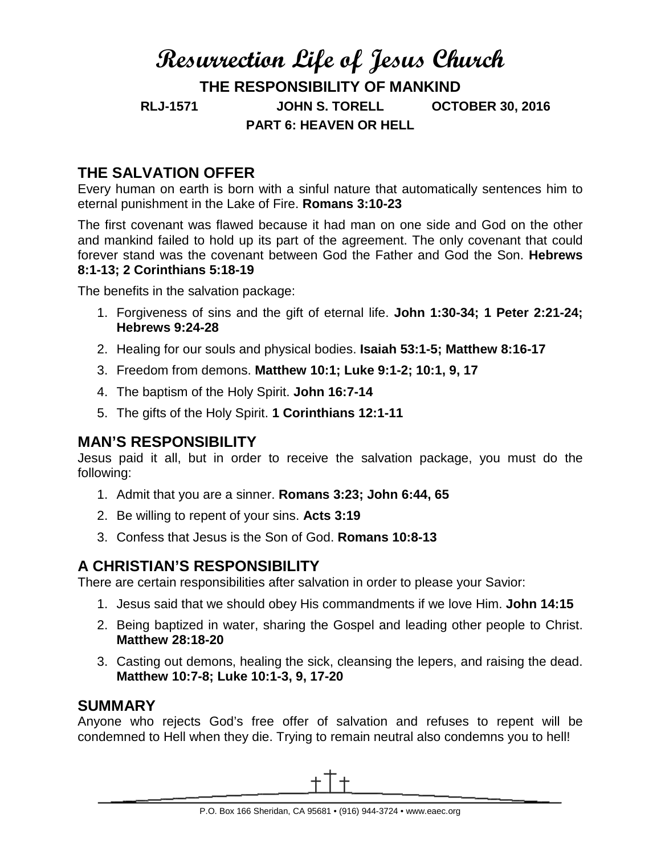# **Resurrection Life of Jesus Church THE RESPONSIBILITY OF MANKIND RLJ-1571 JOHN S. TORELL OCTOBER 30, 2016 PART 6: HEAVEN OR HELL**

## **THE SALVATION OFFER**

Every human on earth is born with a sinful nature that automatically sentences him to eternal punishment in the Lake of Fire. **Romans 3:10-23**

The first covenant was flawed because it had man on one side and God on the other and mankind failed to hold up its part of the agreement. The only covenant that could forever stand was the covenant between God the Father and God the Son. **Hebrews 8:1-13; 2 Corinthians 5:18-19**

The benefits in the salvation package:

- 1. Forgiveness of sins and the gift of eternal life. **John 1:30-34; 1 Peter 2:21-24; Hebrews 9:24-28**
- 2. Healing for our souls and physical bodies. **Isaiah 53:1-5; Matthew 8:16-17**
- 3. Freedom from demons. **Matthew 10:1; Luke 9:1-2; 10:1, 9, 17**
- 4. The baptism of the Holy Spirit. **John 16:7-14**
- 5. The gifts of the Holy Spirit. **1 Corinthians 12:1-11**

#### **MAN'S RESPONSIBILITY**

Jesus paid it all, but in order to receive the salvation package, you must do the following:

- 1. Admit that you are a sinner. **Romans 3:23; John 6:44, 65**
- 2. Be willing to repent of your sins. **Acts 3:19**
- 3. Confess that Jesus is the Son of God. **Romans 10:8-13**

### **A CHRISTIAN'S RESPONSIBILITY**

There are certain responsibilities after salvation in order to please your Savior:

- 1. Jesus said that we should obey His commandments if we love Him. **John 14:15**
- 2. Being baptized in water, sharing the Gospel and leading other people to Christ. **Matthew 28:18-20**
- 3. Casting out demons, healing the sick, cleansing the lepers, and raising the dead. **Matthew 10:7-8; Luke 10:1-3, 9, 17-20**

#### **SUMMARY**

Anyone who rejects God's free offer of salvation and refuses to repent will be condemned to Hell when they die. Trying to remain neutral also condemns you to hell!